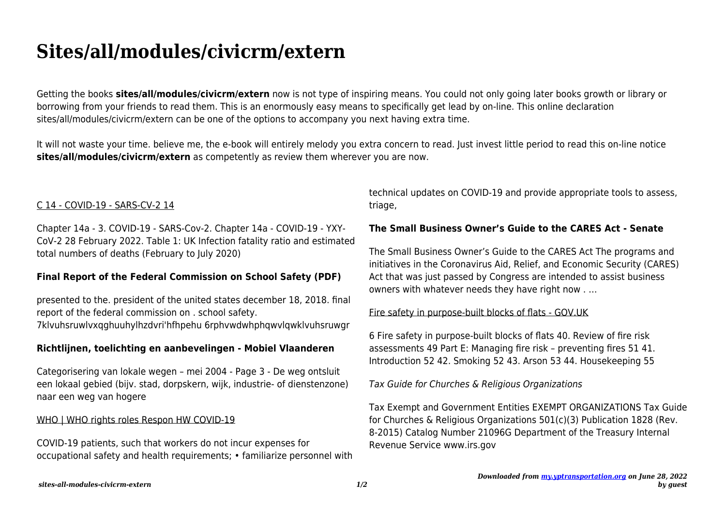# **Sites/all/modules/civicrm/extern**

Getting the books **sites/all/modules/civicrm/extern** now is not type of inspiring means. You could not only going later books growth or library or borrowing from your friends to read them. This is an enormously easy means to specifically get lead by on-line. This online declaration sites/all/modules/civicrm/extern can be one of the options to accompany you next having extra time.

It will not waste your time. believe me, the e-book will entirely melody you extra concern to read. Just invest little period to read this on-line notice **sites/all/modules/civicrm/extern** as competently as review them wherever you are now.

## C 14 - COVID-19 - SARS-CV-2 14

Chapter 14a - 3. COVID-19 - SARS-Cov-2. Chapter 14a - COVID-19 - YXY-CoV-2 28 February 2022. Table 1: UK Infection fatality ratio and estimated total numbers of deaths (February to July 2020)

#### **Final Report of the Federal Commission on School Safety (PDF)**

presented to the. president of the united states december 18, 2018. final report of the federal commission on . school safety. 7klvuhsruwlvxqghuuhylhzdvri'hfhpehu 6rphvwdwhphqwvlqwklvuhsruwgr

#### **Richtlijnen, toelichting en aanbevelingen - Mobiel Vlaanderen**

Categorisering van lokale wegen – mei 2004 - Page 3 - De weg ontsluit een lokaal gebied (bijv. stad, dorpskern, wijk, industrie- of dienstenzone) naar een weg van hogere

#### WHO | WHO rights roles Respon HW COVID-19

COVID-19 patients, such that workers do not incur expenses for occupational safety and health requirements; • familiarize personnel with technical updates on COVID-19 and provide appropriate tools to assess, triage,

## **The Small Business Owner's Guide to the CARES Act - Senate**

The Small Business Owner's Guide to the CARES Act The programs and initiatives in the Coronavirus Aid, Relief, and Economic Security (CARES) Act that was just passed by Congress are intended to assist business owners with whatever needs they have right now . …

#### Fire safety in purpose-built blocks of flats - GOV.UK

6 Fire safety in purpose-built blocks of flats 40. Review of fire risk assessments 49 Part E: Managing fire risk – preventing fires 51 41. Introduction 52 42. Smoking 52 43. Arson 53 44. Housekeeping 55

Tax Guide for Churches & Religious Organizations

Tax Exempt and Government Entities EXEMPT ORGANIZATIONS Tax Guide for Churches & Religious Organizations 501(c)(3) Publication 1828 (Rev. 8-2015) Catalog Number 21096G Department of the Treasury Internal Revenue Service www.irs.gov